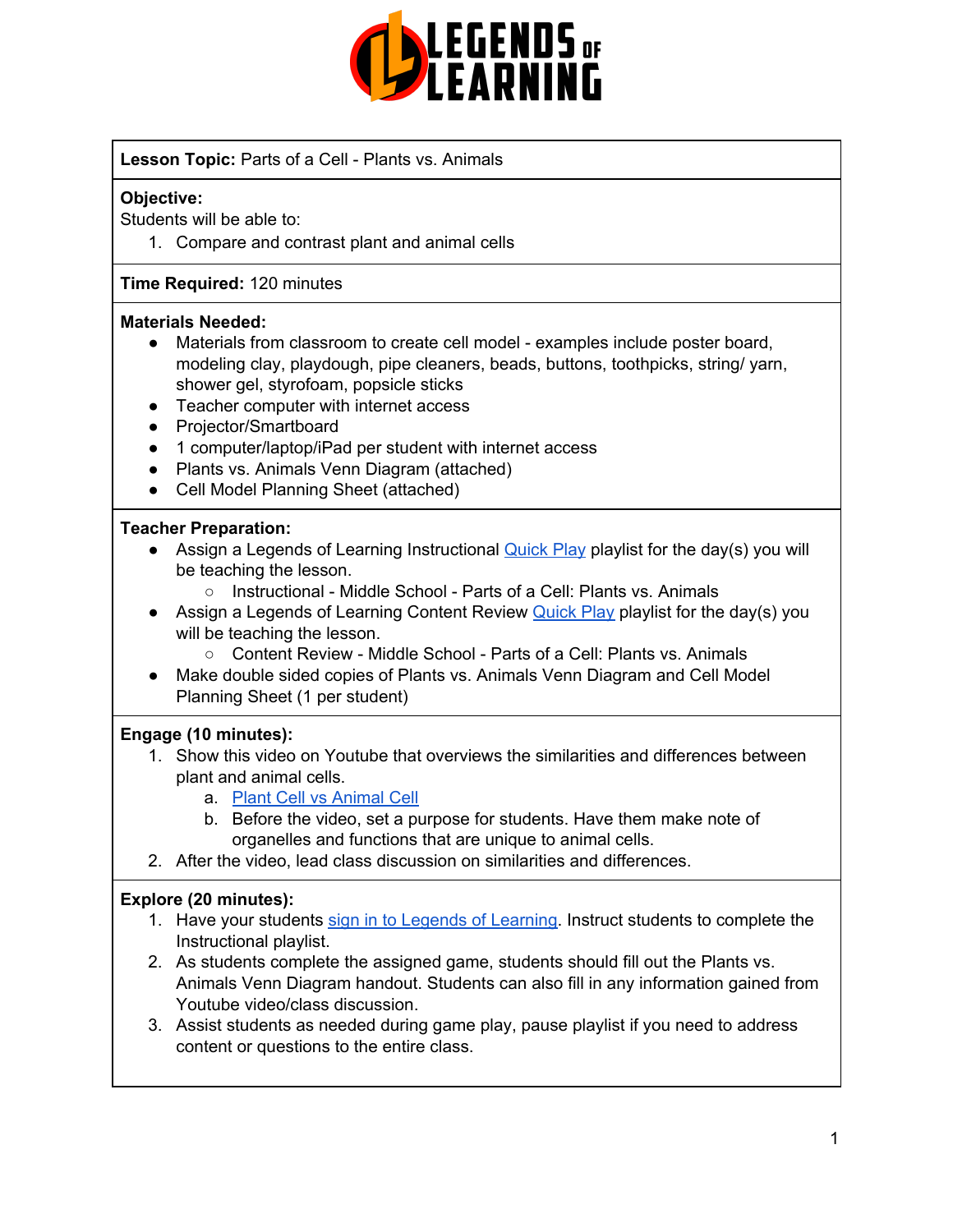

#### **Lesson Topic:** Parts of a Cell - Plants vs. Animals

#### **Objective:**

Students will be able to:

1. Compare and contrast plant and animal cells

#### **Time Required:** 120 minutes

#### **Materials Needed:**

- Materials from classroom to create cell model examples include poster board, modeling clay, playdough, pipe cleaners, beads, buttons, toothpicks, string/ yarn, shower gel, styrofoam, popsicle sticks
- Teacher computer with internet access
- Projector/Smartboard
- 1 computer/laptop/iPad per student with internet access
- Plants vs. Animals Venn Diagram (attached)
- Cell Model Planning Sheet (attached)

#### **Teacher Preparation:**

- Assign a Legends of Learning Instructional [Quick](https://intercom.help/legends-of-learning/en/articles/2701866-assigning-a-quick-play-playlist) Play playlist for the day(s) you will be teaching the lesson.
	- Instructional Middle School Parts of a Cell: Plants vs. Animals
- Assign a Legends of Learning Content Review **[Quick](https://intercom.help/legends-of-learning/en/articles/2701866-assigning-a-quick-play-playlist) Play playlist for the day(s)** you will be teaching the lesson.
	- Content Review Middle School Parts of a Cell: Plants vs. Animals
- Make double sided copies of Plants vs. Animals Venn Diagram and Cell Model Planning Sheet (1 per student)

#### **Engage (10 minutes):**

- 1. Show this video on Youtube that overviews the similarities and differences between plant and animal cells.
	- a. Plant Cell vs [Animal](https://www.youtube.com/watch?v=_Th0bsASzmM) Cell
	- b. Before the video, set a purpose for students. Have them make note of organelles and functions that are unique to animal cells.
- 2. After the video, lead class discussion on similarities and differences.

#### **Explore (20 minutes):**

- 1. Have your students sign in to Legends of [Learning](https://intercom.help/legends-of-learning/en/articles/2154920-students-joining-a-playlist). Instruct students to complete the Instructional playlist.
- 2. As students complete the assigned game, students should fill out the Plants vs. Animals Venn Diagram handout. Students can also fill in any information gained from Youtube video/class discussion.
- 3. Assist students as needed during game play, pause playlist if you need to address content or questions to the entire class.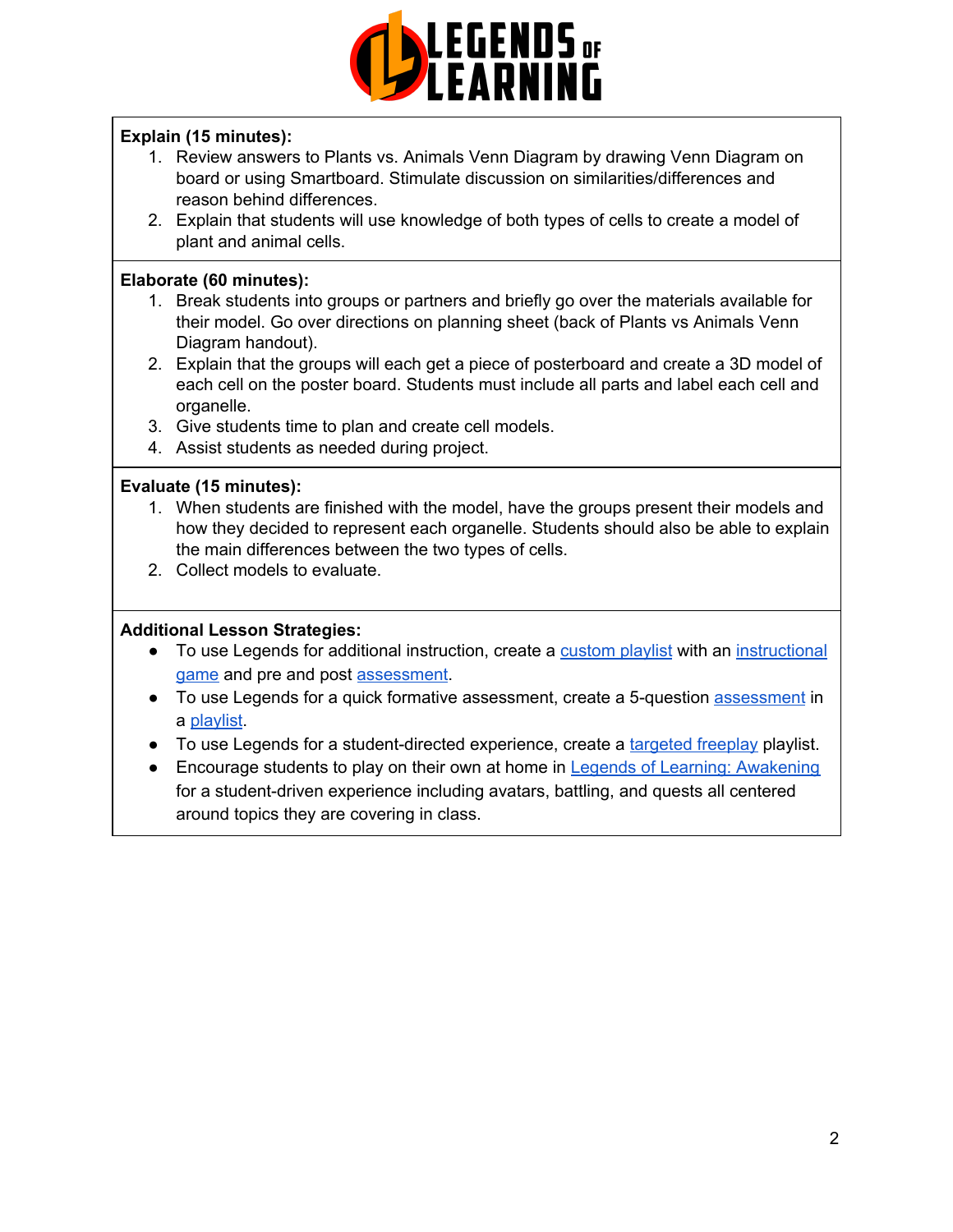

### **Explain (15 minutes):**

- 1. Review answers to Plants vs. Animals Venn Diagram by drawing Venn Diagram on board or using Smartboard. Stimulate discussion on similarities/differences and reason behind differences.
- 2. Explain that students will use knowledge of both types of cells to create a model of plant and animal cells.

#### **Elaborate (60 minutes):**

- 1. Break students into groups or partners and briefly go over the materials available for their model. Go over directions on planning sheet (back of Plants vs Animals Venn Diagram handout).
- 2. Explain that the groups will each get a piece of posterboard and create a 3D model of each cell on the poster board. Students must include all parts and label each cell and organelle.
- 3. Give students time to plan and create cell models.
- 4. Assist students as needed during project.

#### **Evaluate (15 minutes):**

- 1. When students are finished with the model, have the groups present their models and how they decided to represent each organelle. Students should also be able to explain the main differences between the two types of cells.
- 2. Collect models to evaluate.

#### **Additional Lesson Strategies:**

- To use Legends for additional instruction, create a [custom](https://intercom.help/legends-of-learning/en/articles/2154910-creating-a-playlist) playlist with an [instructional](https://intercom.help/legends-of-learning/en/articles/3505828-types-of-games) [game](https://intercom.help/legends-of-learning/en/articles/3505828-types-of-games) and pre and post [assessment](https://intercom.help/legends-of-learning/en/articles/2154913-adding-assessments-to-a-playlist).
- To use Legends for a quick formative [assessment](https://intercom.help/legends-of-learning/en/articles/2154913-adding-assessments-to-a-playlist), create a 5-question assessment in a [playlist](https://intercom.help/legends-of-learning/en/articles/2154910-creating-a-playlist).
- To use Legends for a student-directed experience, create a [targeted](https://intercom.help/legends-of-learning/en/articles/3340814-targeted-freeplay) freeplay playlist.
- Encourage students to play on their own at home in Legends of Learning: [Awakening](https://intercom.help/legends-of-learning/en/articles/2425490-legends-of-learning-awakening) for a student-driven experience including avatars, battling, and quests all centered around topics they are covering in class.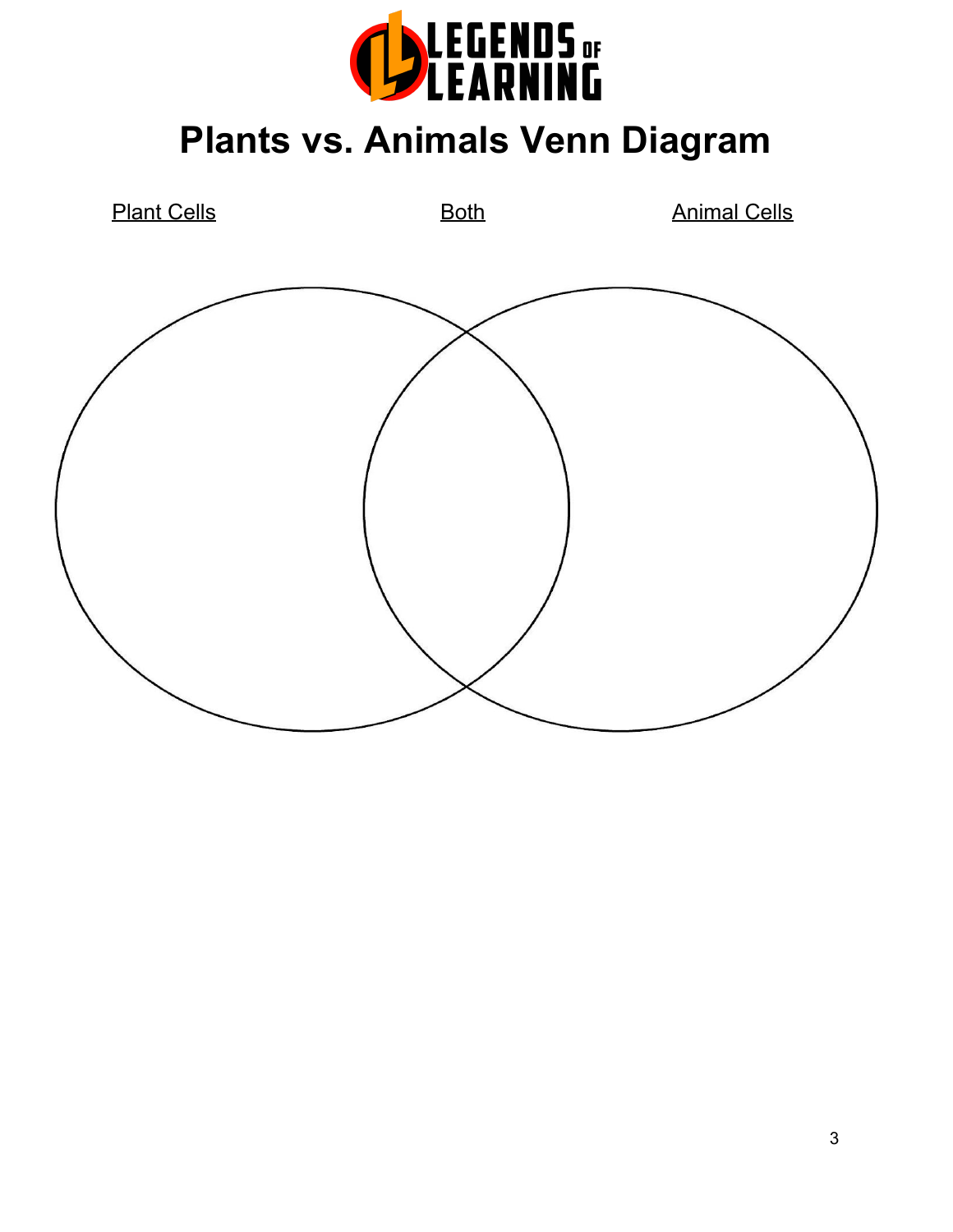

**Plants vs. Animals Venn Diagram**

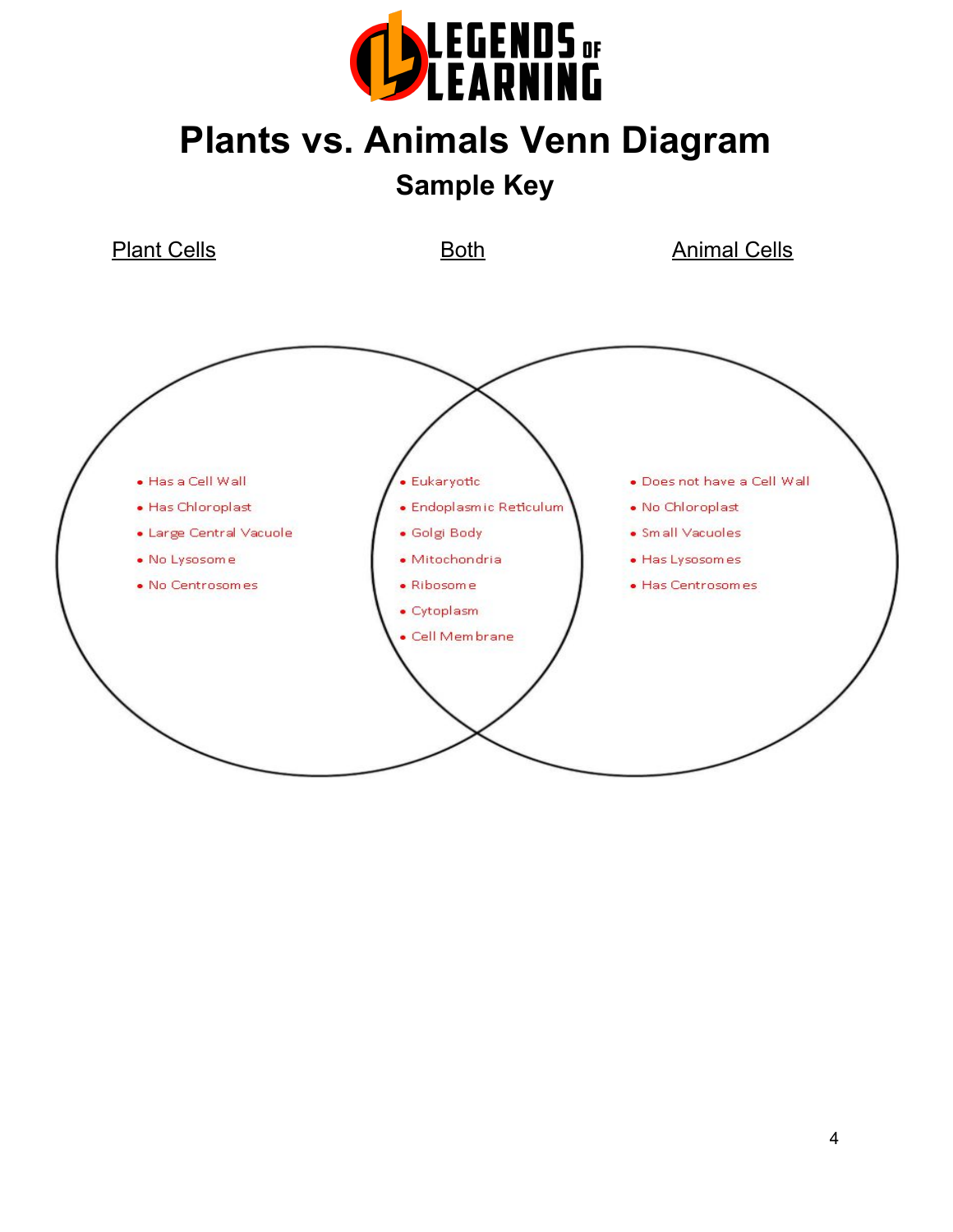

# **Plants vs. Animals Venn Diagram**

**Sample Key**